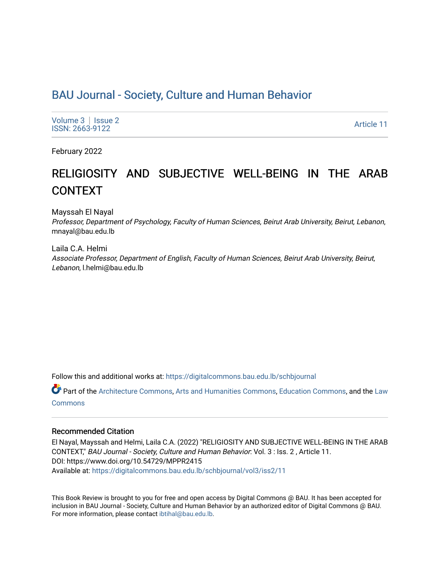# [BAU Journal - Society, Culture and Human Behavior](https://digitalcommons.bau.edu.lb/schbjournal)

[Volume 3](https://digitalcommons.bau.edu.lb/schbjournal/vol3) | Issue 2 Produce 3 | ISSUE 2<br>ISSN: 2663-9122

February 2022

# RELIGIOSITY AND SUBJECTIVE WELL-BEING IN THE ARAB CONTEXT

Mayssah El Nayal

Professor, Department of Psychology, Faculty of Human Sciences, Beirut Arab University, Beirut, Lebanon, mnayal@bau.edu.lb

Laila C.A. Helmi Associate Professor, Department of English, Faculty of Human Sciences, Beirut Arab University, Beirut, Lebanon, l.helmi@bau.edu.lb

Follow this and additional works at: [https://digitalcommons.bau.edu.lb/schbjournal](https://digitalcommons.bau.edu.lb/schbjournal?utm_source=digitalcommons.bau.edu.lb%2Fschbjournal%2Fvol3%2Fiss2%2F11&utm_medium=PDF&utm_campaign=PDFCoverPages)

Part of the [Architecture Commons](http://network.bepress.com/hgg/discipline/773?utm_source=digitalcommons.bau.edu.lb%2Fschbjournal%2Fvol3%2Fiss2%2F11&utm_medium=PDF&utm_campaign=PDFCoverPages), [Arts and Humanities Commons](http://network.bepress.com/hgg/discipline/438?utm_source=digitalcommons.bau.edu.lb%2Fschbjournal%2Fvol3%2Fiss2%2F11&utm_medium=PDF&utm_campaign=PDFCoverPages), [Education Commons,](http://network.bepress.com/hgg/discipline/784?utm_source=digitalcommons.bau.edu.lb%2Fschbjournal%2Fvol3%2Fiss2%2F11&utm_medium=PDF&utm_campaign=PDFCoverPages) and the [Law](http://network.bepress.com/hgg/discipline/578?utm_source=digitalcommons.bau.edu.lb%2Fschbjournal%2Fvol3%2Fiss2%2F11&utm_medium=PDF&utm_campaign=PDFCoverPages)  **[Commons](http://network.bepress.com/hgg/discipline/578?utm_source=digitalcommons.bau.edu.lb%2Fschbjournal%2Fvol3%2Fiss2%2F11&utm_medium=PDF&utm_campaign=PDFCoverPages)** 

#### Recommended Citation

El Nayal, Mayssah and Helmi, Laila C.A. (2022) "RELIGIOSITY AND SUBJECTIVE WELL-BEING IN THE ARAB CONTEXT," BAU Journal - Society, Culture and Human Behavior: Vol. 3 : Iss. 2 , Article 11. DOI: https://www.doi.org/10.54729/MPPR2415 Available at: [https://digitalcommons.bau.edu.lb/schbjournal/vol3/iss2/11](https://digitalcommons.bau.edu.lb/schbjournal/vol3/iss2/11?utm_source=digitalcommons.bau.edu.lb%2Fschbjournal%2Fvol3%2Fiss2%2F11&utm_medium=PDF&utm_campaign=PDFCoverPages)

This Book Review is brought to you for free and open access by Digital Commons @ BAU. It has been accepted for inclusion in BAU Journal - Society, Culture and Human Behavior by an authorized editor of Digital Commons @ BAU. For more information, please contact [ibtihal@bau.edu.lb.](mailto:ibtihal@bau.edu.lb)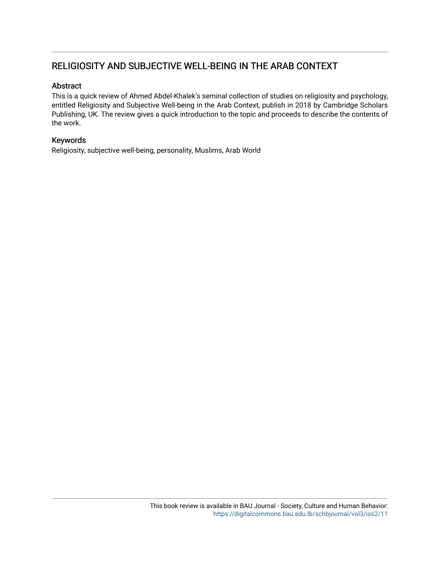## RELIGIOSITY AND SUBJECTIVE WELL-BEING IN THE ARAB CONTEXT

### Abstract

This is a quick review of Ahmed Abdel-Khalek's seminal collection of studies on religiosity and psychology, entitled Religiosity and Subjective Well-being in the Arab Context, publish in 2018 by Cambridge Scholars Publishing, UK. The review gives a quick introduction to the topic and proceeds to describe the contents of the work.

### Keywords

Religiosity, subjective well-being, personality, Muslims, Arab World